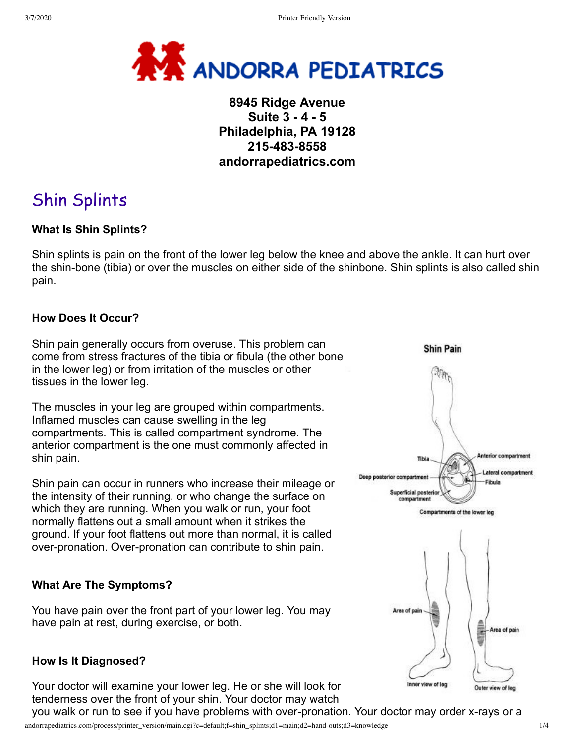

# **8945 Ridge Avenue Suite 3 - 4 - 5 Philadelphia, PA 19128 215-483-8558 andorrapediatrics.com**

# Shin Splints

### **What Is Shin Splints?**

Shin splints is pain on the front of the lower leg below the knee and above the ankle. It can hurt over the shin-bone (tibia) or over the muscles on either side of the shinbone. Shin splints is also called shin pain.

### **How Does It Occur?**

Shin pain generally occurs from overuse. This problem can come from stress fractures of the tibia or fibula (the other bone in the lower leg) or from irritation of the muscles or other tissues in the lower leg.

The muscles in your leg are grouped within compartments. Inflamed muscles can cause swelling in the leg compartments. This is called compartment syndrome. The anterior compartment is the one must commonly affected in shin pain.

Shin pain can occur in runners who increase their mileage or the intensity of their running, or who change the surface on which they are running. When you walk or run, your foot normally flattens out a small amount when it strikes the ground. If your foot flattens out more than normal, it is called over-pronation. Over-pronation can contribute to shin pain.

### **What Are The Symptoms?**

You have pain over the front part of your lower leg. You may have pain at rest, during exercise, or both.

#### **How Is It Diagnosed?**

Your doctor will examine your lower leg. He or she will look for tenderness over the front of your shin. Your doctor may watch you walk or run to see if you have problems with over-pronation. Your doctor may order x-rays or a



andorrapediatrics.com/process/printer\_version/main.cgi?c=default;f=shin\_splints;d1=main;d2=hand-outs;d3=knowledge 1/4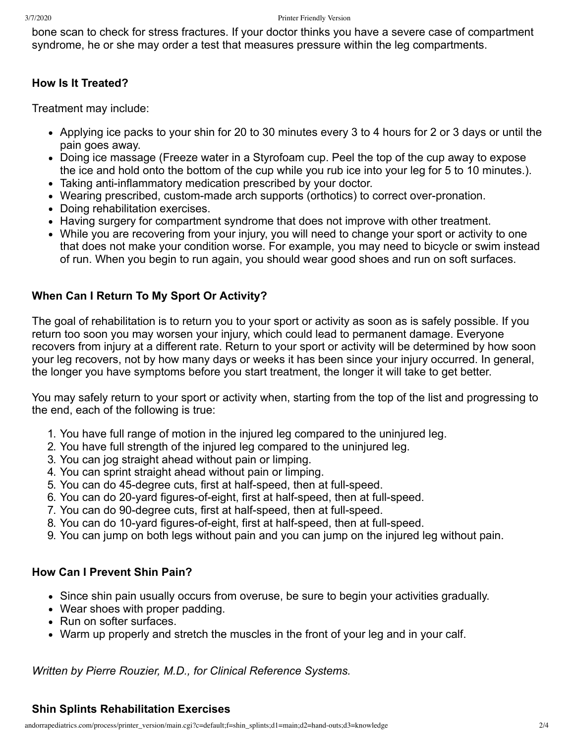bone scan to check for stress fractures. If your doctor thinks you have a severe case of compartment syndrome, he or she may order a test that measures pressure within the leg compartments.

### **How Is It Treated?**

Treatment may include:

- Applying ice packs to your shin for 20 to 30 minutes every 3 to 4 hours for 2 or 3 days or until the pain goes away.
- Doing ice massage (Freeze water in a Styrofoam cup. Peel the top of the cup away to expose the ice and hold onto the bottom of the cup while you rub ice into your leg for 5 to 10 minutes.).
- Taking anti-inflammatory medication prescribed by your doctor.
- Wearing prescribed, custom-made arch supports (orthotics) to correct over-pronation.
- Doing rehabilitation exercises.
- Having surgery for compartment syndrome that does not improve with other treatment.
- While you are recovering from your injury, you will need to change your sport or activity to one that does not make your condition worse. For example, you may need to bicycle or swim instead of run. When you begin to run again, you should wear good shoes and run on soft surfaces.

## **When Can I Return To My Sport Or Activity?**

The goal of rehabilitation is to return you to your sport or activity as soon as is safely possible. If you return too soon you may worsen your injury, which could lead to permanent damage. Everyone recovers from injury at a different rate. Return to your sport or activity will be determined by how soon your leg recovers, not by how many days or weeks it has been since your injury occurred. In general, the longer you have symptoms before you start treatment, the longer it will take to get better.

You may safely return to your sport or activity when, starting from the top of the list and progressing to the end, each of the following is true:

- 1. You have full range of motion in the injured leg compared to the uninjured leg.
- 2. You have full strength of the injured leg compared to the uninjured leg.
- 3. You can jog straight ahead without pain or limping.
- 4. You can sprint straight ahead without pain or limping.
- 5. You can do 45-degree cuts, first at half-speed, then at full-speed.
- 6. You can do 20-yard figures-of-eight, first at half-speed, then at full-speed.
- 7. You can do 90-degree cuts, first at half-speed, then at full-speed.
- 8. You can do 10-yard figures-of-eight, first at half-speed, then at full-speed.
- 9. You can jump on both legs without pain and you can jump on the injured leg without pain.

### **How Can I Prevent Shin Pain?**

- Since shin pain usually occurs from overuse, be sure to begin your activities gradually.
- Wear shoes with proper padding.
- Run on softer surfaces.
- Warm up properly and stretch the muscles in the front of your leg and in your calf.

*Written by Pierre Rouzier, M.D., for Clinical Reference Systems.*

### **Shin Splints Rehabilitation Exercises**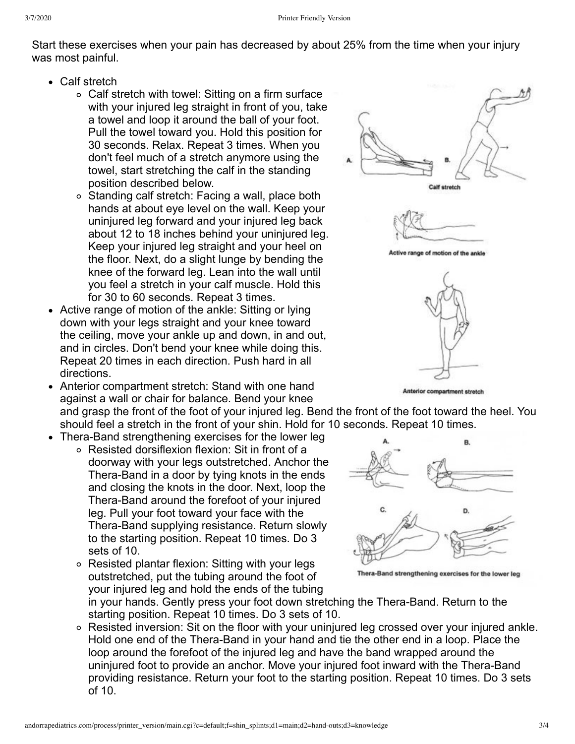Start these exercises when your pain has decreased by about 25% from the time when your injury was most painful.

- Calf stretch
	- Calf stretch with towel: Sitting on a firm surface with your injured leg straight in front of you, take a towel and loop it around the ball of your foot. Pull the towel toward you. Hold this position for 30 seconds. Relax. Repeat 3 times. When you don't feel much of a stretch anymore using the towel, start stretching the calf in the standing position described below.
	- Standing calf stretch: Facing a wall, place both hands at about eye level on the wall. Keep your uninjured leg forward and your injured leg back about 12 to 18 inches behind your uninjured leg. Keep your injured leg straight and your heel on the floor. Next, do a slight lunge by bending the knee of the forward leg. Lean into the wall until you feel a stretch in your calf muscle. Hold this for 30 to 60 seconds. Repeat 3 times.
- Active range of motion of the ankle: Sitting or lying down with your legs straight and your knee toward the ceiling, move your ankle up and down, in and out, and in circles. Don't bend your knee while doing this. Repeat 20 times in each direction. Push hard in all directions.
- Anterior compartment stretch: Stand with one hand against a wall or chair for balance. Bend your knee
- Thera-Band strengthening exercises for the lower leg
	- Resisted dorsiflexion flexion: Sit in front of a doorway with your legs outstretched. Anchor the Thera-Band in a door by tying knots in the ends and closing the knots in the door. Next, loop the Thera-Band around the forefoot of your injured leg. Pull your foot toward your face with the Thera-Band supplying resistance. Return slowly to the starting position. Repeat 10 times. Do 3 sets of 10.
	- Resisted plantar flexion: Sitting with your legs outstretched, put the tubing around the foot of your injured leg and hold the ends of the tubing



and grasp the front of the foot of your injured leg. Bend the front of the foot toward the heel. You should feel a stretch in the front of your shin. Hold for 10 seconds. Repeat 10 times.



Thera-Band strengthening exercises for the lower leg

in your hands. Gently press your foot down stretching the Thera-Band. Return to the starting position. Repeat 10 times. Do 3 sets of 10.

Resisted inversion: Sit on the floor with your uninjured leg crossed over your injured ankle. Hold one end of the Thera-Band in your hand and tie the other end in a loop. Place the loop around the forefoot of the injured leg and have the band wrapped around the uninjured foot to provide an anchor. Move your injured foot inward with the Thera-Band providing resistance. Return your foot to the starting position. Repeat 10 times. Do 3 sets of 10.